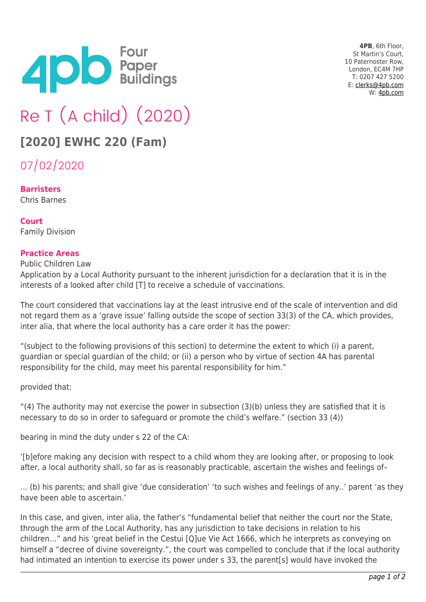

**4PB**, 6th Floor, St Martin's Court, 10 Paternoster Row, London, EC4M 7HP T: 0207 427 5200 E: [clerks@4pb.com](mailto:clerks@4pb.com) W: [4pb.com](http://4pb.com)

## Re T (A child) (2020)

## **[2020] EWHC 220 (Fam)**

07/02/2020

**Barristers** Chris Barnes

**Court** Family Division

## **Practice Areas**

Public Children Law

Application by a Local Authority pursuant to the inherent jurisdiction for a declaration that it is in the interests of a looked after child [T] to receive a schedule of vaccinations.

The court considered that vaccinations lay at the least intrusive end of the scale of intervention and did not regard them as a 'grave issue' falling outside the scope of section 33(3) of the CA, which provides, inter alia, that where the local authority has a care order it has the power:

"(subject to the following provisions of this section) to determine the extent to which (i) a parent, guardian or special guardian of the child; or (ii) a person who by virtue of section 4A has parental responsibility for the child, may meet his parental responsibility for him."

provided that:

"(4) The authority may not exercise the power in subsection  $(3)(b)$  unless they are satisfied that it is necessary to do so in order to safeguard or promote the child's welfare." (section 33 (4))

bearing in mind the duty under s 22 of the CA:

'[b]efore making any decision with respect to a child whom they are looking after, or proposing to look after, a local authority shall, so far as is reasonably practicable, ascertain the wishes and feelings of–

… (b) his parents; and shall give 'due consideration' 'to such wishes and feelings of any..' parent 'as they have been able to ascertain.'

In this case, and given, inter alia, the father's "fundamental belief that neither the court nor the State, through the arm of the Local Authority, has any jurisdiction to take decisions in relation to his children…" and his 'great belief in the Cestui [Q]ue Vie Act 1666, which he interprets as conveying on himself a "decree of divine sovereignty.", the court was compelled to conclude that if the local authority had intimated an intention to exercise its power under s 33, the parent[s] would have invoked the